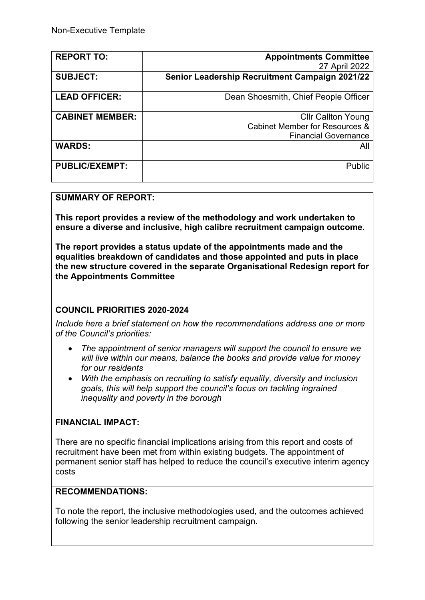| <b>REPORT TO:</b>      | <b>Appointments Committee</b>                         |
|------------------------|-------------------------------------------------------|
|                        | 27 April 2022                                         |
| <b>SUBJECT:</b>        | <b>Senior Leadership Recruitment Campaign 2021/22</b> |
| <b>LEAD OFFICER:</b>   | Dean Shoesmith, Chief People Officer                  |
| <b>CABINET MEMBER:</b> | <b>CIIr Callton Young</b>                             |
|                        | Cabinet Member for Resources &                        |
|                        | <b>Financial Governance</b>                           |
| <b>WARDS:</b>          | All                                                   |
| <b>PUBLIC/EXEMPT:</b>  | Public                                                |

#### **SUMMARY OF REPORT:**

**This report provides a review of the methodology and work undertaken to ensure a diverse and inclusive, high calibre recruitment campaign outcome.**

**The report provides a status update of the appointments made and the equalities breakdown of candidates and those appointed and puts in place the new structure covered in the separate Organisational Redesign report for the Appointments Committee**

# **COUNCIL PRIORITIES 2020-2024**

*Include here a brief statement on how the recommendations address one or more of the Council's priorities:* 

- *The appointment of senior managers will support the council to ensure we will live within our means, balance the books and provide value for money for our residents*
- *With the emphasis on recruiting to satisfy equality, diversity and inclusion goals, this will help support the council's focus on tackling ingrained inequality and poverty in the borough*

# **FINANCIAL IMPACT:**

There are no specific financial implications arising from this report and costs of recruitment have been met from within existing budgets. The appointment of permanent senior staff has helped to reduce the council's executive interim agency costs

### **RECOMMENDATIONS:**

To note the report, the inclusive methodologies used, and the outcomes achieved following the senior leadership recruitment campaign.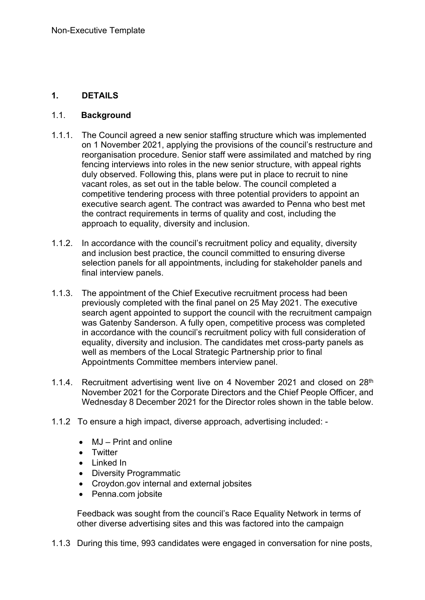### **1. DETAILS**

### 1.1.**Background**

- 1.1.1. The Council agreed a new senior staffing structure which was implemented on 1 November 2021, applying the provisions of the council's restructure and reorganisation procedure. Senior staff were assimilated and matched by ring fencing interviews into roles in the new senior structure, with appeal rights duly observed. Following this, plans were put in place to recruit to nine vacant roles, as set out in the table below. The council completed a competitive tendering process with three potential providers to appoint an executive search agent. The contract was awarded to Penna who best met the contract requirements in terms of quality and cost, including the approach to equality, diversity and inclusion.
- 1.1.2. In accordance with the council's recruitment policy and equality, diversity and inclusion best practice, the council committed to ensuring diverse selection panels for all appointments, including for stakeholder panels and final interview panels.
- 1.1.3. The appointment of the Chief Executive recruitment process had been previously completed with the final panel on 25 May 2021. The executive search agent appointed to support the council with the recruitment campaign was Gatenby Sanderson. A fully open, competitive process was completed in accordance with the council's recruitment policy with full consideration of equality, diversity and inclusion. The candidates met cross-party panels as well as members of the Local Strategic Partnership prior to final Appointments Committee members interview panel.
- 1.1.4. Recruitment advertising went live on 4 November 2021 and closed on 28<sup>th</sup> November 2021 for the Corporate Directors and the Chief People Officer, and Wednesday 8 December 2021 for the Director roles shown in the table below.
- 1.1.2 To ensure a high impact, diverse approach, advertising included:
	- MJ Print and online
	- **•** Twitter
	- Linked In
	- Diversity Programmatic
	- Croydon.gov internal and external jobsites
	- Penna.com jobsite

Feedback was sought from the council's Race Equality Network in terms of other diverse advertising sites and this was factored into the campaign

1.1.3 During this time, 993 candidates were engaged in conversation for nine posts,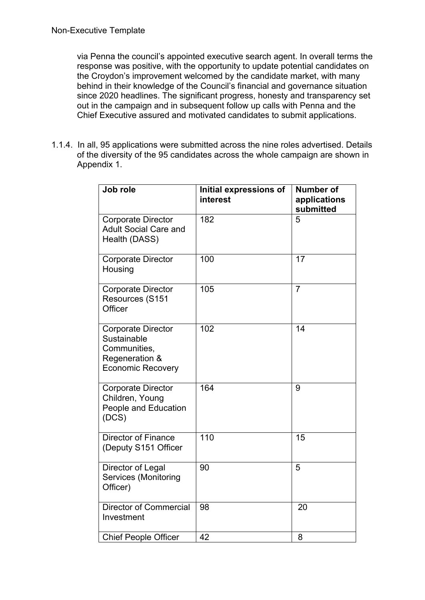via Penna the council's appointed executive search agent. In overall terms the response was positive, with the opportunity to update potential candidates on the Croydon's improvement welcomed by the candidate market, with many behind in their knowledge of the Council's financial and governance situation since 2020 headlines. The significant progress, honesty and transparency set out in the campaign and in subsequent follow up calls with Penna and the Chief Executive assured and motivated candidates to submit applications.

1.1.4. In all, 95 applications were submitted across the nine roles advertised. Details of the diversity of the 95 candidates across the whole campaign are shown in Appendix 1.

| Job role                                                                                               | Initial expressions of<br>interest | <b>Number of</b><br>applications<br>submitted |
|--------------------------------------------------------------------------------------------------------|------------------------------------|-----------------------------------------------|
| <b>Corporate Director</b><br><b>Adult Social Care and</b><br>Health (DASS)                             | 182                                | 5                                             |
| <b>Corporate Director</b><br>Housing                                                                   | 100                                | 17                                            |
| <b>Corporate Director</b><br>Resources (S151<br>Officer                                                | 105                                | $\overline{7}$                                |
| <b>Corporate Director</b><br>Sustainable<br>Communities,<br>Regeneration &<br><b>Economic Recovery</b> | 102                                | 14                                            |
| <b>Corporate Director</b><br>Children, Young<br>People and Education<br>(DCS)                          | 164                                | 9                                             |
| <b>Director of Finance</b><br>(Deputy S151 Officer                                                     | 110                                | 15                                            |
| Director of Legal<br><b>Services (Monitoring</b><br>Officer)                                           | 90                                 | 5                                             |
| <b>Director of Commercial</b><br>Investment                                                            | 98                                 | 20                                            |
| <b>Chief People Officer</b>                                                                            | 42                                 | 8                                             |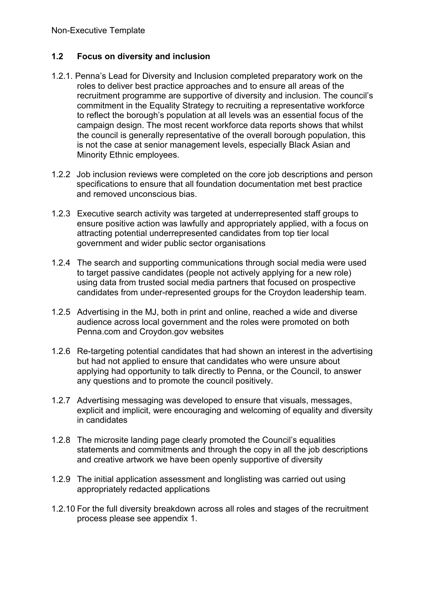# **1.2 Focus on diversity and inclusion**

- 1.2.1. Penna's Lead for Diversity and Inclusion completed preparatory work on the roles to deliver best practice approaches and to ensure all areas of the recruitment programme are supportive of diversity and inclusion. The council's commitment in the Equality Strategy to recruiting a representative workforce to reflect the borough's population at all levels was an essential focus of the campaign design. The most recent workforce data reports shows that whilst the council is generally representative of the overall borough population, this is not the case at senior management levels, especially Black Asian and Minority Ethnic employees.
- 1.2.2 Job inclusion reviews were completed on the core job descriptions and person specifications to ensure that all foundation documentation met best practice and removed unconscious bias.
- 1.2.3 Executive search activity was targeted at underrepresented staff groups to ensure positive action was lawfully and appropriately applied, with a focus on attracting potential underrepresented candidates from top tier local government and wider public sector organisations
- 1.2.4 The search and supporting communications through social media were used to target passive candidates (people not actively applying for a new role) using data from trusted social media partners that focused on prospective candidates from under-represented groups for the Croydon leadership team.
- 1.2.5 Advertising in the MJ, both in print and online, reached a wide and diverse audience across local government and the roles were promoted on both Penna.com and Croydon.gov websites
- 1.2.6 Re-targeting potential candidates that had shown an interest in the advertising but had not applied to ensure that candidates who were unsure about applying had opportunity to talk directly to Penna, or the Council, to answer any questions and to promote the council positively.
- 1.2.7 Advertising messaging was developed to ensure that visuals, messages, explicit and implicit, were encouraging and welcoming of equality and diversity in candidates
- 1.2.8 The microsite landing page clearly promoted the Council's equalities statements and commitments and through the copy in all the job descriptions and creative artwork we have been openly supportive of diversity
- 1.2.9 The initial application assessment and longlisting was carried out using appropriately redacted applications
- 1.2.10 For the full diversity breakdown across all roles and stages of the recruitment process please see appendix 1.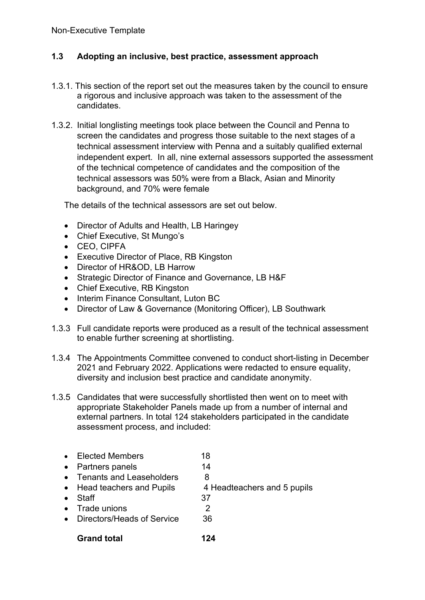# **1.3 Adopting an inclusive, best practice, assessment approach**

- 1.3.1. This section of the report set out the measures taken by the council to ensure a rigorous and inclusive approach was taken to the assessment of the candidates.
- 1.3.2. Initial longlisting meetings took place between the Council and Penna to screen the candidates and progress those suitable to the next stages of a technical assessment interview with Penna and a suitably qualified external independent expert. In all, nine external assessors supported the assessment of the technical competence of candidates and the composition of the technical assessors was 50% were from a Black, Asian and Minority background, and 70% were female

The details of the technical assessors are set out below.

- Director of Adults and Health, LB Haringey
- Chief Executive, St Mungo's
- CEO, CIPFA
- Executive Director of Place, RB Kingston
- Director of HR&OD, LB Harrow
- Strategic Director of Finance and Governance, LB H&F
- Chief Executive, RB Kingston
- Interim Finance Consultant, Luton BC
- Director of Law & Governance (Monitoring Officer), LB Southwark
- 1.3.3 Full candidate reports were produced as a result of the technical assessment to enable further screening at shortlisting.
- 1.3.4 The Appointments Committee convened to conduct short-listing in December 2021 and February 2022. Applications were redacted to ensure equality, diversity and inclusion best practice and candidate anonymity.
- 1.3.5 Candidates that were successfully shortlisted then went on to meet with appropriate Stakeholder Panels made up from a number of internal and external partners. In total 124 stakeholders participated in the candidate assessment process, and included:

|           | <b>Grand total</b>         | -24                         |
|-----------|----------------------------|-----------------------------|
| $\bullet$ | Directors/Heads of Service | 36                          |
| $\bullet$ | Trade unions               |                             |
| $\bullet$ | Staff                      | 37                          |
|           | • Head teachers and Pupils | 4 Headteachers and 5 pupils |
|           | • Tenants and Leaseholders | 8                           |
| $\bullet$ | <b>Partners panels</b>     | 14                          |
| $\bullet$ | <b>Elected Members</b>     | 18                          |
|           |                            |                             |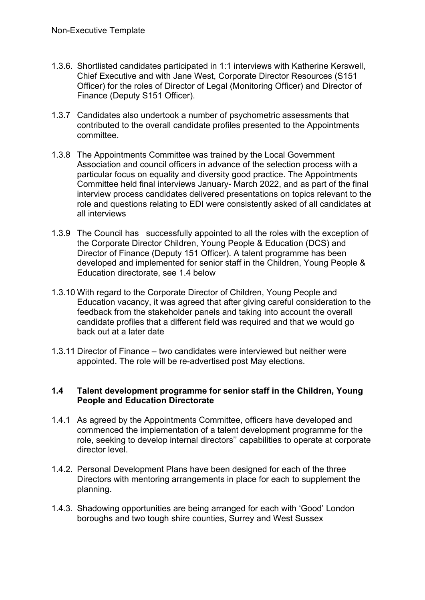- 1.3.6. Shortlisted candidates participated in 1:1 interviews with Katherine Kerswell, Chief Executive and with Jane West, Corporate Director Resources (S151 Officer) for the roles of Director of Legal (Monitoring Officer) and Director of Finance (Deputy S151 Officer).
- 1.3.7 Candidates also undertook a number of psychometric assessments that contributed to the overall candidate profiles presented to the Appointments committee.
- 1.3.8 The Appointments Committee was trained by the Local Government Association and council officers in advance of the selection process with a particular focus on equality and diversity good practice. The Appointments Committee held final interviews January- March 2022, and as part of the final interview process candidates delivered presentations on topics relevant to the role and questions relating to EDI were consistently asked of all candidates at all interviews
- 1.3.9 The Council has successfully appointed to all the roles with the exception of the Corporate Director Children, Young People & Education (DCS) and Director of Finance (Deputy 151 Officer). A talent programme has been developed and implemented for senior staff in the Children, Young People & Education directorate, see 1.4 below
- 1.3.10 With regard to the Corporate Director of Children, Young People and Education vacancy, it was agreed that after giving careful consideration to the feedback from the stakeholder panels and taking into account the overall candidate profiles that a different field was required and that we would go back out at a later date
- 1.3.11 Director of Finance two candidates were interviewed but neither were appointed. The role will be re-advertised post May elections.

#### **1.4 Talent development programme for senior staff in the Children, Young People and Education Directorate**

- 1.4.1 As agreed by the Appointments Committee, officers have developed and commenced the implementation of a talent development programme for the role, seeking to develop internal directors'' capabilities to operate at corporate director level.
- 1.4.2. Personal Development Plans have been designed for each of the three Directors with mentoring arrangements in place for each to supplement the planning.
- 1.4.3. Shadowing opportunities are being arranged for each with 'Good' London boroughs and two tough shire counties, Surrey and West Sussex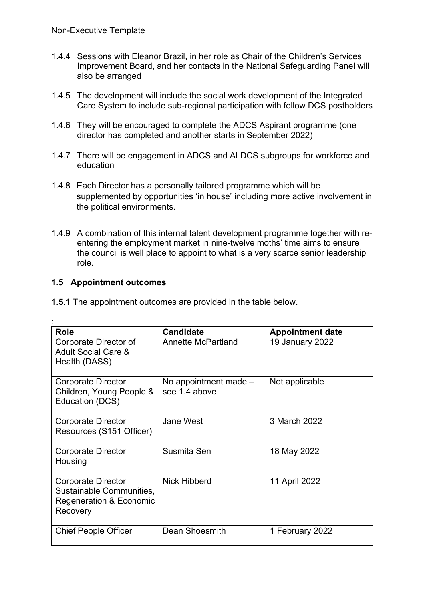- 1.4.4 Sessions with Eleanor Brazil, in her role as Chair of the Children's Services Improvement Board, and her contacts in the National Safeguarding Panel will also be arranged
- 1.4.5 The development will include the social work development of the Integrated Care System to include sub-regional participation with fellow DCS postholders
- 1.4.6 They will be encouraged to complete the ADCS Aspirant programme (one director has completed and another starts in September 2022)
- 1.4.7 There will be engagement in ADCS and ALDCS subgroups for workforce and education
- 1.4.8 Each Director has a personally tailored programme which will be supplemented by opportunities 'in house' including more active involvement in the political environments.
- 1.4.9 A combination of this internal talent development programme together with reentering the employment market in nine-twelve moths' time aims to ensure the council is well place to appoint to what is a very scarce senior leadership role.

### **1.5 Appointment outcomes**

:

| <b>1.5.1</b> The appointment outcomes are provided in the table below. |  |  |  |  |  |
|------------------------------------------------------------------------|--|--|--|--|--|
|------------------------------------------------------------------------|--|--|--|--|--|

| Role                                                                                  | <b>Candidate</b>                         | <b>Appointment date</b> |
|---------------------------------------------------------------------------------------|------------------------------------------|-------------------------|
| Corporate Director of<br><b>Adult Social Care &amp;</b><br>Health (DASS)              | <b>Annette McPartland</b>                | 19 January 2022         |
| <b>Corporate Director</b><br>Children, Young People &<br>Education (DCS)              | No appointment made $-$<br>see 1.4 above | Not applicable          |
| <b>Corporate Director</b><br>Resources (S151 Officer)                                 | Jane West                                | 3 March 2022            |
| <b>Corporate Director</b><br>Housing                                                  | Susmita Sen                              | 18 May 2022             |
| Corporate Director<br>Sustainable Communities,<br>Regeneration & Economic<br>Recovery | <b>Nick Hibberd</b>                      | 11 April 2022           |
| <b>Chief People Officer</b>                                                           | Dean Shoesmith                           | 1 February 2022         |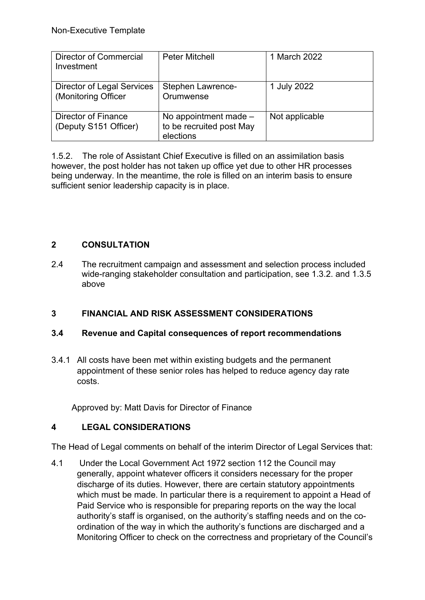| <b>Director of Commercial</b><br>Investment              | <b>Peter Mitchell</b>                                            | 1 March 2022   |
|----------------------------------------------------------|------------------------------------------------------------------|----------------|
| <b>Director of Legal Services</b><br>(Monitoring Officer | Stephen Lawrence-<br>Orumwense                                   | 1 July 2022    |
| <b>Director of Finance</b><br>(Deputy S151 Officer)      | No appointment made $-$<br>to be recruited post May<br>elections | Not applicable |

1.5.2.The role of Assistant Chief Executive is filled on an assimilation basis however, the post holder has not taken up office yet due to other HR processes being underway. In the meantime, the role is filled on an interim basis to ensure sufficient senior leadership capacity is in place.

# **2 CONSULTATION**

2.4 The recruitment campaign and assessment and selection process included wide-ranging stakeholder consultation and participation, see 1.3.2. and 1.3.5 above

# **3 FINANCIAL AND RISK ASSESSMENT CONSIDERATIONS**

# **3.4 Revenue and Capital consequences of report recommendations**

3.4.1 All costs have been met within existing budgets and the permanent appointment of these senior roles has helped to reduce agency day rate costs.

Approved by: Matt Davis for Director of Finance

# **4 LEGAL CONSIDERATIONS**

The Head of Legal comments on behalf of the interim Director of Legal Services that:

4.1 Under the Local Government Act 1972 section 112 the Council may generally, appoint whatever officers it considers necessary for the proper discharge of its duties. However, there are certain statutory appointments which must be made. In particular there is a requirement to appoint a Head of Paid Service who is responsible for preparing reports on the way the local authority's staff is organised, on the authority's staffing needs and on the coordination of the way in which the authority's functions are discharged and a Monitoring Officer to check on the correctness and proprietary of the Council's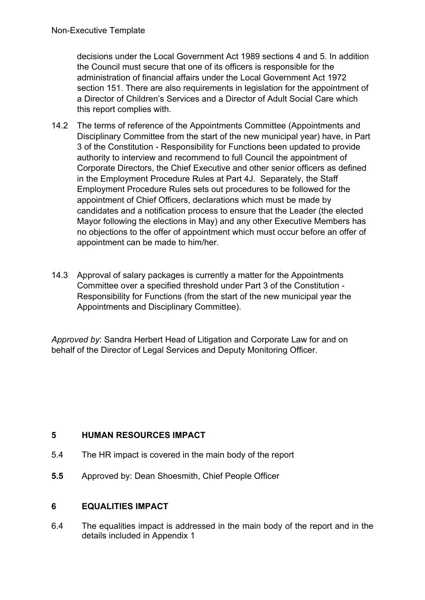decisions under the Local Government Act 1989 sections 4 and 5. In addition the Council must secure that one of its officers is responsible for the administration of financial affairs under the Local Government Act 1972 section 151. There are also requirements in legislation for the appointment of a Director of Children's Services and a Director of Adult Social Care which this report complies with.

- 14.2 The terms of reference of the Appointments Committee (Appointments and Disciplinary Committee from the start of the new municipal year) have, in Part 3 of the Constitution - Responsibility for Functions been updated to provide authority to interview and recommend to full Council the appointment of Corporate Directors, the Chief Executive and other senior officers as defined in the Employment Procedure Rules at Part 4J. Separately, the Staff Employment Procedure Rules sets out procedures to be followed for the appointment of Chief Officers, declarations which must be made by candidates and a notification process to ensure that the Leader (the elected Mayor following the elections in May) and any other Executive Members has no objections to the offer of appointment which must occur before an offer of appointment can be made to him/her.
- 14.3 Approval of salary packages is currently a matter for the Appointments Committee over a specified threshold under Part 3 of the Constitution - Responsibility for Functions (from the start of the new municipal year the Appointments and Disciplinary Committee).

*Approved by*: Sandra Herbert Head of Litigation and Corporate Law for and on behalf of the Director of Legal Services and Deputy Monitoring Officer.

# **5 HUMAN RESOURCES IMPACT**

- 5.4 The HR impact is covered in the main body of the report
- **5.5** Approved by: Dean Shoesmith, Chief People Officer

# **6 EQUALITIES IMPACT**

6.4 The equalities impact is addressed in the main body of the report and in the details included in Appendix 1